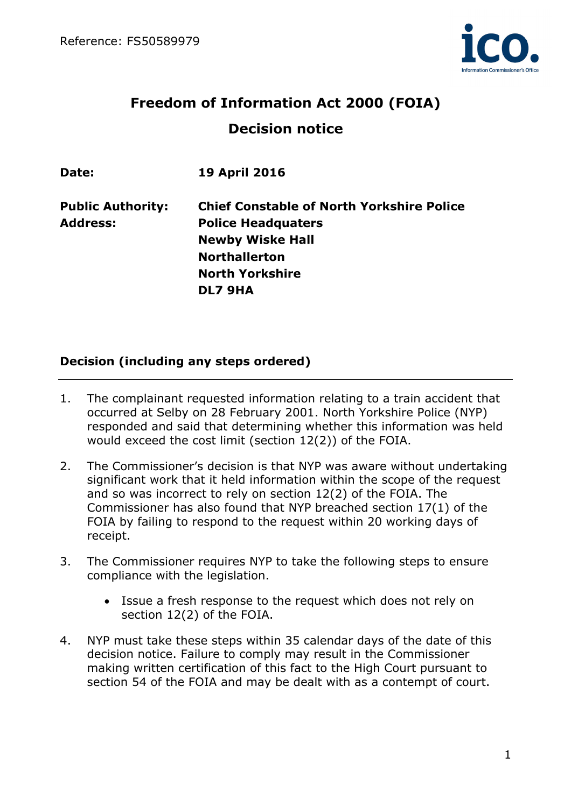

# **Freedom of Information Act 2000 (FOIA) Decision notice**

| Date:                    | <b>19 April 2016</b>                             |
|--------------------------|--------------------------------------------------|
| <b>Public Authority:</b> | <b>Chief Constable of North Yorkshire Police</b> |
| <b>Address:</b>          | <b>Police Headquaters</b>                        |
|                          | <b>Newby Wiske Hall</b>                          |
|                          | <b>Northallerton</b>                             |
|                          | <b>North Yorkshire</b>                           |
|                          | DL7 9HA                                          |
|                          |                                                  |

### **Decision (including any steps ordered)**

- 1. The complainant requested information relating to a train accident that occurred at Selby on 28 February 2001. North Yorkshire Police (NYP) responded and said that determining whether this information was held would exceed the cost limit (section 12(2)) of the FOIA.
- 2. The Commissioner's decision is that NYP was aware without undertaking significant work that it held information within the scope of the request and so was incorrect to rely on section 12(2) of the FOIA. The Commissioner has also found that NYP breached section 17(1) of the FOIA by failing to respond to the request within 20 working days of receipt.
- 3. The Commissioner requires NYP to take the following steps to ensure compliance with the legislation.
	- Issue a fresh response to the request which does not rely on section 12(2) of the FOIA.
- 4. NYP must take these steps within 35 calendar days of the date of this decision notice. Failure to comply may result in the Commissioner making written certification of this fact to the High Court pursuant to section 54 of the FOIA and may be dealt with as a contempt of court.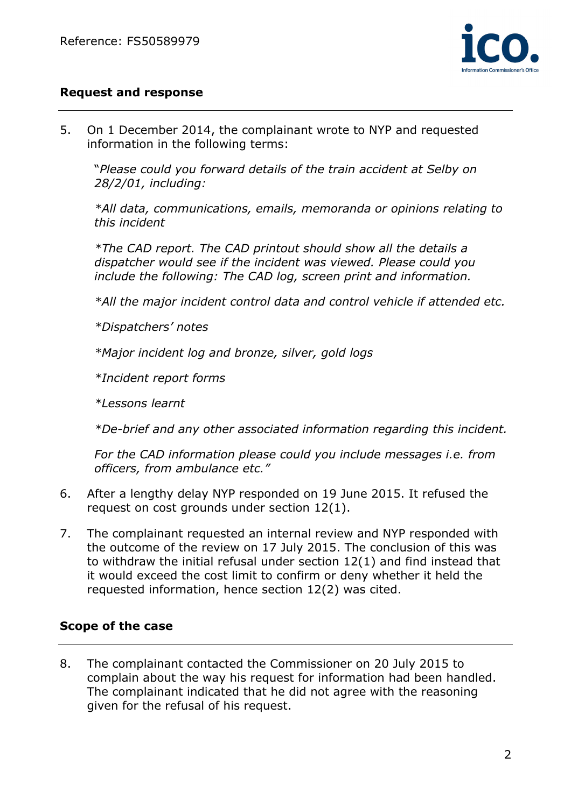

### **Request and response**

5. On 1 December 2014, the complainant wrote to NYP and requested information in the following terms:

"*Please could you forward details of the train accident at Selby on 28/2/01, including:* 

*\*All data, communications, emails, memoranda or opinions relating to this incident* 

*\*The CAD report. The CAD printout should show all the details a dispatcher would see if the incident was viewed. Please could you include the following: The CAD log, screen print and information.* 

*\*All the major incident control data and control vehicle if attended etc.* 

*\*Dispatchers' notes* 

*\*Major incident log and bronze, silver, gold logs* 

*\*Incident report forms* 

*\*Lessons learnt* 

*\*De-brief and any other associated information regarding this incident.* 

*For the CAD information please could you include messages i.e. from officers, from ambulance etc."* 

- 6. After a lengthy delay NYP responded on 19 June 2015. It refused the request on cost grounds under section 12(1).
- 7. The complainant requested an internal review and NYP responded with the outcome of the review on 17 July 2015. The conclusion of this was to withdraw the initial refusal under section 12(1) and find instead that it would exceed the cost limit to confirm or deny whether it held the requested information, hence section 12(2) was cited.

### **Scope of the case**

8. The complainant contacted the Commissioner on 20 July 2015 to complain about the way his request for information had been handled. The complainant indicated that he did not agree with the reasoning given for the refusal of his request.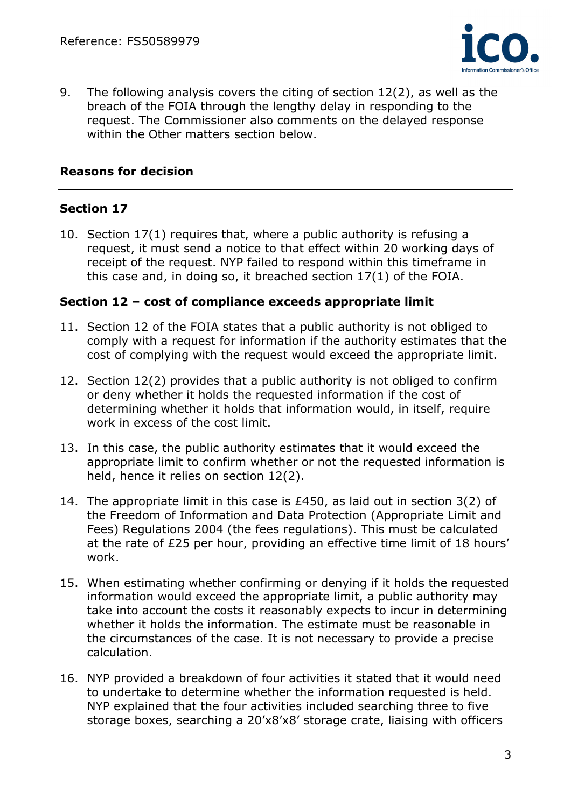

9. The following analysis covers the citing of section 12(2), as well as the breach of the FOIA through the lengthy delay in responding to the request. The Commissioner also comments on the delayed response within the Other matters section below.

### **Reasons for decision**

## **Section 17**

10. Section 17(1) requires that, where a public authority is refusing a request, it must send a notice to that effect within 20 working days of receipt of the request. NYP failed to respond within this timeframe in this case and, in doing so, it breached section 17(1) of the FOIA.

#### **Section 12 – cost of compliance exceeds appropriate limit**

- 11. Section 12 of the FOIA states that a public authority is not obliged to comply with a request for information if the authority estimates that the cost of complying with the request would exceed the appropriate limit.
- 12. Section 12(2) provides that a public authority is not obliged to confirm or deny whether it holds the requested information if the cost of determining whether it holds that information would, in itself, require work in excess of the cost limit.
- 13. In this case, the public authority estimates that it would exceed the appropriate limit to confirm whether or not the requested information is held, hence it relies on section 12(2).
- 14. The appropriate limit in this case is £450, as laid out in section 3(2) of the Freedom of Information and Data Protection (Appropriate Limit and Fees) Regulations 2004 (the fees regulations). This must be calculated at the rate of £25 per hour, providing an effective time limit of 18 hours' work.
- 15. When estimating whether confirming or denying if it holds the requested information would exceed the appropriate limit, a public authority may take into account the costs it reasonably expects to incur in determining whether it holds the information. The estimate must be reasonable in the circumstances of the case. It is not necessary to provide a precise calculation.
- 16. NYP provided a breakdown of four activities it stated that it would need to undertake to determine whether the information requested is held. NYP explained that the four activities included searching three to five storage boxes, searching a 20'x8'x8' storage crate, liaising with officers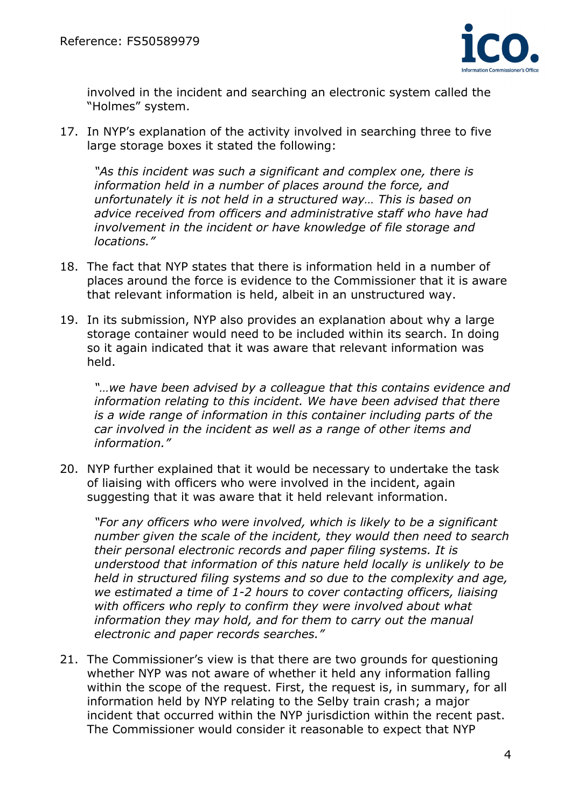

involved in the incident and searching an electronic system called the "Holmes" system.

17. In NYP's explanation of the activity involved in searching three to five large storage boxes it stated the following:

*"As this incident was such a significant and complex one, there is information held in a number of places around the force, and unfortunately it is not held in a structured way… This is based on advice received from officers and administrative staff who have had involvement in the incident or have knowledge of file storage and locations."* 

- 18. The fact that NYP states that there is information held in a number of places around the force is evidence to the Commissioner that it is aware that relevant information is held, albeit in an unstructured way.
- 19. In its submission, NYP also provides an explanation about why a large storage container would need to be included within its search. In doing so it again indicated that it was aware that relevant information was held.

*"…we have been advised by a colleague that this contains evidence and information relating to this incident. We have been advised that there is a wide range of information in this container including parts of the car involved in the incident as well as a range of other items and information."*

20. NYP further explained that it would be necessary to undertake the task of liaising with officers who were involved in the incident, again suggesting that it was aware that it held relevant information.

*"For any officers who were involved, which is likely to be a significant number given the scale of the incident, they would then need to search their personal electronic records and paper filing systems. It is understood that information of this nature held locally is unlikely to be held in structured filing systems and so due to the complexity and age, we estimated a time of 1-2 hours to cover contacting officers, liaising with officers who reply to confirm they were involved about what information they may hold, and for them to carry out the manual electronic and paper records searches."* 

21. The Commissioner's view is that there are two grounds for questioning whether NYP was not aware of whether it held any information falling within the scope of the request. First, the request is, in summary, for all information held by NYP relating to the Selby train crash; a major incident that occurred within the NYP jurisdiction within the recent past. The Commissioner would consider it reasonable to expect that NYP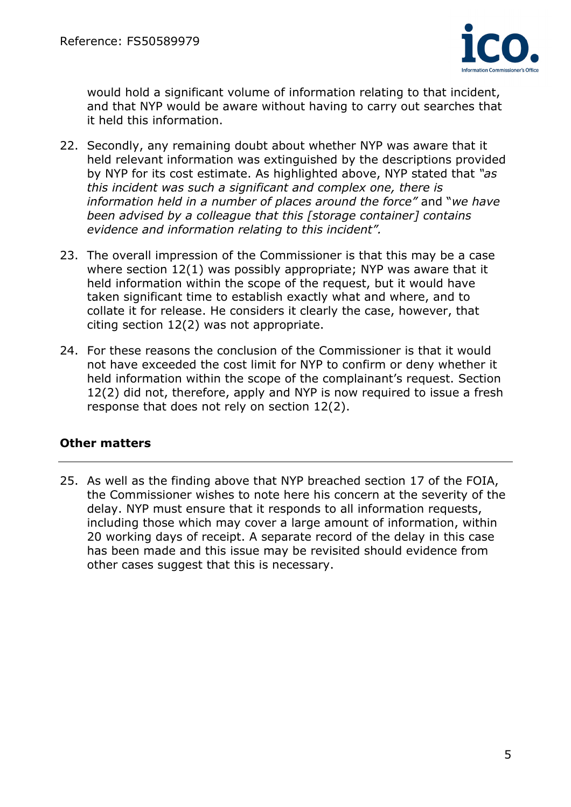

would hold a significant volume of information relating to that incident, and that NYP would be aware without having to carry out searches that it held this information.

- 22. Secondly, any remaining doubt about whether NYP was aware that it held relevant information was extinguished by the descriptions provided by NYP for its cost estimate. As highlighted above, NYP stated that *"as this incident was such a significant and complex one, there is information held in a number of places around the force"* and "*we have been advised by a colleague that this [storage container] contains evidence and information relating to this incident".*
- 23. The overall impression of the Commissioner is that this may be a case where section 12(1) was possibly appropriate; NYP was aware that it held information within the scope of the request, but it would have taken significant time to establish exactly what and where, and to collate it for release. He considers it clearly the case, however, that citing section 12(2) was not appropriate.
- 24. For these reasons the conclusion of the Commissioner is that it would not have exceeded the cost limit for NYP to confirm or deny whether it held information within the scope of the complainant's request. Section 12(2) did not, therefore, apply and NYP is now required to issue a fresh response that does not rely on section 12(2).

#### **Other matters**

25. As well as the finding above that NYP breached section 17 of the FOIA, the Commissioner wishes to note here his concern at the severity of the delay. NYP must ensure that it responds to all information requests, including those which may cover a large amount of information, within 20 working days of receipt. A separate record of the delay in this case has been made and this issue may be revisited should evidence from other cases suggest that this is necessary.